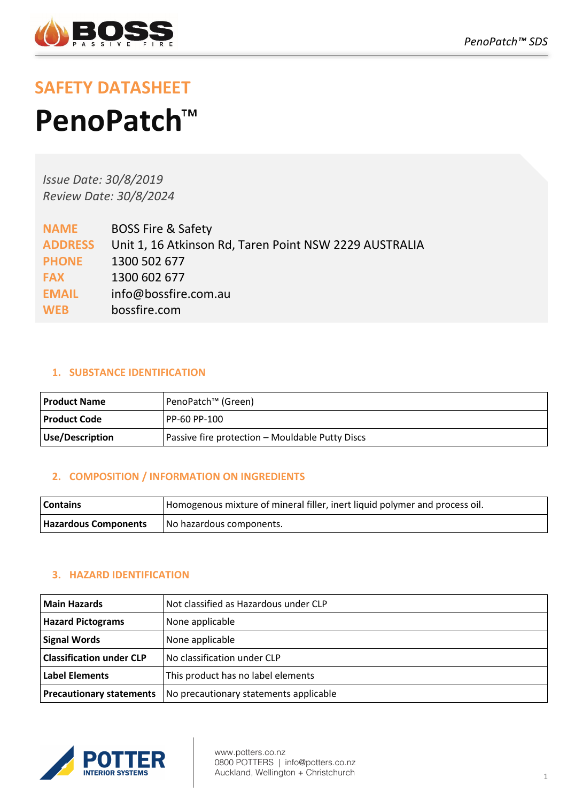

# **SAFETY DATASHEET PenoPatch**

*Issue Date: 30/8/2019 Review Date: 30/8/2024*

| <b>NAME</b>    | <b>BOSS Fire &amp; Safety</b>                          |
|----------------|--------------------------------------------------------|
| <b>ADDRESS</b> | Unit 1, 16 Atkinson Rd, Taren Point NSW 2229 AUSTRALIA |
| <b>PHONE</b>   | 1300 502 677                                           |
| <b>FAX</b>     | 1300 602 677                                           |
| <b>EMAIL</b>   | info@bossfire.com.au                                   |
| <b>WEB</b>     | bossfire.com                                           |
|                |                                                        |

# **1. SUBSTANCE IDENTIFICATION**

| Product Name    | PenoPatch™ (Green)                              |
|-----------------|-------------------------------------------------|
| l Product Code  | I PP-60 PP-100                                  |
| Use/Description | Passive fire protection - Mouldable Putty Discs |

# **2. COMPOSITION / INFORMATION ON INGREDIENTS**

| <b>Contains</b>             | Homogenous mixture of mineral filler, inert liquid polymer and process oil. |
|-----------------------------|-----------------------------------------------------------------------------|
| <b>Hazardous Components</b> | No hazardous components.                                                    |

# **3. HAZARD IDENTIFICATION**

| l Main Hazards                  | Not classified as Hazardous under CLP  |
|---------------------------------|----------------------------------------|
| <b>Hazard Pictograms</b>        | None applicable                        |
| <b>Signal Words</b>             | None applicable                        |
| <b>Classification under CLP</b> | No classification under CLP            |
| <b>Label Elements</b>           | This product has no label elements     |
| <b>Precautionary statements</b> | No precautionary statements applicable |



www.potters.co.nz 0800 POTTERS | info@potters.co.nz Auckland, Wellington + Christchurch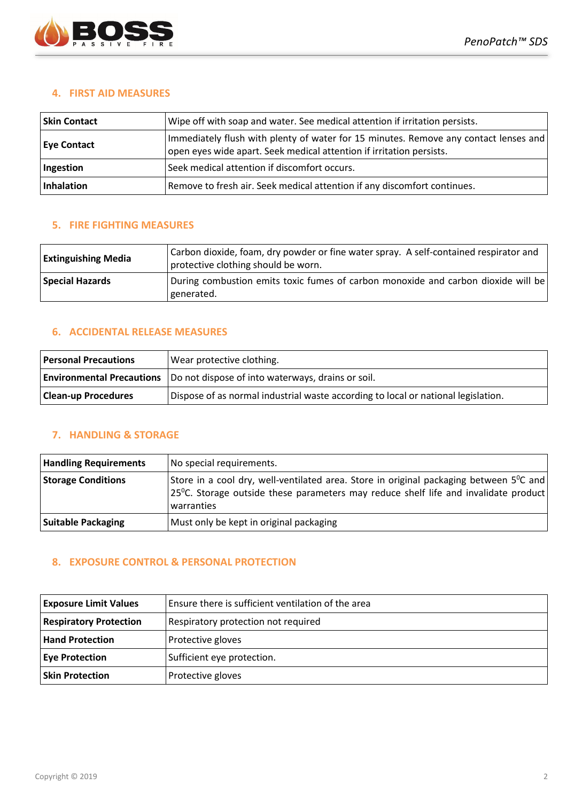

## **4. FIRST AID MEASURES**

| <b>Skin Contact</b> | Wipe off with soap and water. See medical attention if irritation persists.                                                                                  |
|---------------------|--------------------------------------------------------------------------------------------------------------------------------------------------------------|
| <b>Eye Contact</b>  | Immediately flush with plenty of water for 15 minutes. Remove any contact lenses and<br>open eyes wide apart. Seek medical attention if irritation persists. |
| Ingestion           | Seek medical attention if discomfort occurs.                                                                                                                 |
| Inhalation          | Remove to fresh air. Seek medical attention if any discomfort continues.                                                                                     |

## **5. FIRE FIGHTING MEASURES**

| <b>Extinguishing Media</b> | Carbon dioxide, foam, dry powder or fine water spray. A self-contained respirator and<br>protective clothing should be worn. |
|----------------------------|------------------------------------------------------------------------------------------------------------------------------|
| <b>Special Hazards</b>     | During combustion emits toxic fumes of carbon monoxide and carbon dioxide will be<br>generated.                              |

## **6. ACCIDENTAL RELEASE MEASURES**

| <b>Personal Precautions</b>      | Wear protective clothing.                                                         |
|----------------------------------|-----------------------------------------------------------------------------------|
| <b>Environmental Precautions</b> | Do not dispose of into waterways, drains or soil.                                 |
| <b>Clean-up Procedures</b>       | Dispose of as normal industrial waste according to local or national legislation. |

# **7. HANDLING & STORAGE**

| <b>Handling Requirements</b> | No special requirements.                                                                                                                                                                                           |
|------------------------------|--------------------------------------------------------------------------------------------------------------------------------------------------------------------------------------------------------------------|
| <b>Storage Conditions</b>    | Store in a cool dry, well-ventilated area. Store in original packaging between 5 <sup>o</sup> C and<br>$25^{\circ}$ C. Storage outside these parameters may reduce shelf life and invalidate product<br>warranties |
| <b>Suitable Packaging</b>    | Must only be kept in original packaging                                                                                                                                                                            |

## **8. EXPOSURE CONTROL & PERSONAL PROTECTION**

| <b>Exposure Limit Values</b>  | Ensure there is sufficient ventilation of the area |
|-------------------------------|----------------------------------------------------|
| <b>Respiratory Protection</b> | Respiratory protection not required                |
| <b>Hand Protection</b>        | Protective gloves                                  |
| <b>Eye Protection</b>         | Sufficient eye protection.                         |
| <b>Skin Protection</b>        | Protective gloves                                  |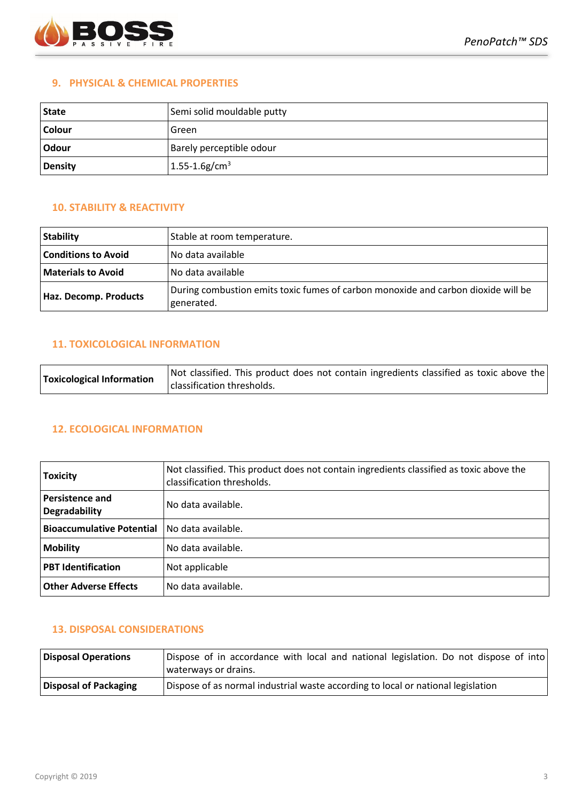

#### **9. PHYSICAL & CHEMICAL PROPERTIES**

| State   | Semi solid mouldable putty     |
|---------|--------------------------------|
| Colour  | Green                          |
| Odour   | Barely perceptible odour       |
| Density | $1.55 - 1.6$ g/cm <sup>3</sup> |

## **10. STABILITY & REACTIVITY**

| <b>Stability</b>           | Stable at room temperature.                                                                     |
|----------------------------|-------------------------------------------------------------------------------------------------|
| <b>Conditions to Avoid</b> | No data available                                                                               |
| <b>Materials to Avoid</b>  | l No data available                                                                             |
| Haz. Decomp. Products      | During combustion emits toxic fumes of carbon monoxide and carbon dioxide will be<br>generated. |

#### **11. TOXICOLOGICAL INFORMATION**

| Toxicological Information | Not classified. This product does not contain ingredients classified as toxic above the<br>classification thresholds. |
|---------------------------|-----------------------------------------------------------------------------------------------------------------------|
|                           |                                                                                                                       |

## **12. ECOLOGICAL INFORMATION**

| <b>Toxicity</b>                                | Not classified. This product does not contain ingredients classified as toxic above the<br>classification thresholds. |
|------------------------------------------------|-----------------------------------------------------------------------------------------------------------------------|
| <b>Persistence and</b><br><b>Degradability</b> | No data available.                                                                                                    |
| <b>Bioaccumulative Potential</b>               | No data available.                                                                                                    |
| <b>Mobility</b>                                | No data available.                                                                                                    |
| <b>PBT Identification</b>                      | Not applicable                                                                                                        |
| <b>Other Adverse Effects</b>                   | No data available.                                                                                                    |

## **13. DISPOSAL CONSIDERATIONS**

| Disposal Operations   | Dispose of in accordance with local and national legislation. Do not dispose of into<br>waterways or drains. |
|-----------------------|--------------------------------------------------------------------------------------------------------------|
| Disposal of Packaging | Dispose of as normal industrial waste according to local or national legislation                             |